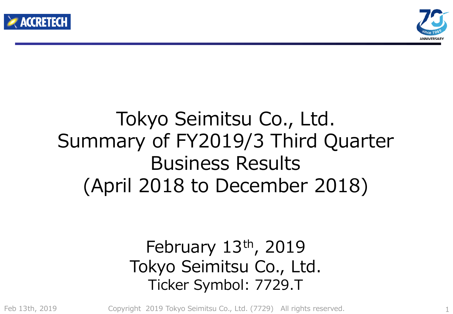



## Tokyo Seimitsu Co., Ltd. Summary of FY2019/3 Third Quarter Business Results (April 2018 to December 2018)

### February 13th, 2019 Tokyo Seimitsu Co., Ltd. Ticker Symbol: 7729.T

Feb 13th, 2019

Copyright 2019 Tokyo Seimitsu Co., Ltd. (7729) All rights reserved. 1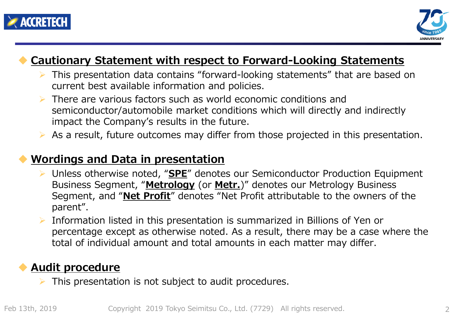



#### **Cautionary Statement with respect to Forward-Looking Statements**

- This presentation data contains "forward-looking statements" that are based on current best available information and policies.
- There are various factors such as world economic conditions and semiconductor/automobile market conditions which will directly and indirectly impact the Company's results in the future.
- $\triangleright$  As a result, future outcomes may differ from those projected in this presentation.

#### **Wordings and Data in presentation**

- Unless otherwise noted, "**SPE**" denotes our Semiconductor Production Equipment Business Segment, "**Metrology** (or **Metr.**)" denotes our Metrology Business Segment, and "**Net Profit**" denotes "Net Profit attributable to the owners of the parent".
- Information listed in this presentation is summarized in Billions of Yen or percentage except as otherwise noted. As a result, there may be a case where the total of individual amount and total amounts in each matter may differ.

#### **Audit procedure**

This presentation is not subject to audit procedures.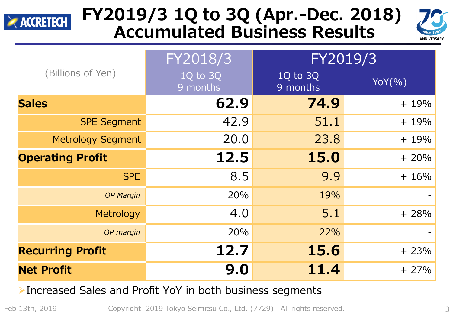

### **FY2019/3 1Q to 3Q (Apr.-Dec. 2018) Accumulated Business Results**



|                          | FY2018/3             | FY2019/3             |        |  |  |
|--------------------------|----------------------|----------------------|--------|--|--|
| (Billions of Yen)        | 1Q to 3Q<br>9 months | 1Q to 3Q<br>9 months | YOY(%) |  |  |
| <b>Sales</b>             | 62.9                 | 74.9                 | $+19%$ |  |  |
| <b>SPE Segment</b>       | 42.9                 | 51.1                 | $+19%$ |  |  |
| <b>Metrology Segment</b> | 20.0                 | 23.8                 | $+19%$ |  |  |
| <b>Operating Profit</b>  | 12.5                 | 15.0                 | $+20%$ |  |  |
| <b>SPE</b>               | 8.5                  | 9.9                  | $+16%$ |  |  |
| <b>OP Margin</b>         | 20%                  | 19%                  |        |  |  |
| Metrology                | 4.0                  | 5.1                  | $+28%$ |  |  |
| OP margin                | 20%                  | 22%                  |        |  |  |
| <b>Recurring Profit</b>  | 12.7                 | 15.6                 | $+23%$ |  |  |
| <b>Net Profit</b>        | 9.0                  | 11.4                 | $+27%$ |  |  |

#### Increased Sales and Profit YoY in both business segments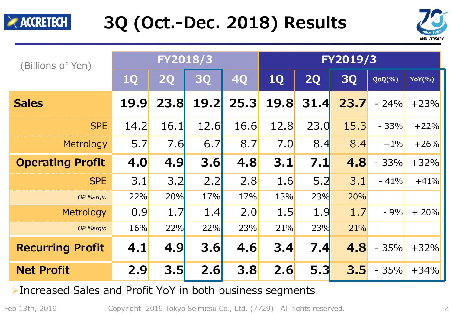



| (Billions of Yen)       | FY2018/3    |             |             |           | FY2019/3    |           |           |            |               |
|-------------------------|-------------|-------------|-------------|-----------|-------------|-----------|-----------|------------|---------------|
|                         | <b>1Q</b>   | <b>2Q</b>   | <b>3Q</b>   | <b>4Q</b> | 1Q          | <b>2Q</b> | <b>3Q</b> | $QoQ(\% )$ | <b>YoY(%)</b> |
| <b>Sales</b>            | <b>19.9</b> | <b>23.8</b> | <b>19.2</b> | 25.3      | <b>19.8</b> | 31.4      | 23.7      | $-24%$     | $+23%$        |
| <b>SPE</b>              | 14.2        | 16.1        | 12.6        | 16.6      | 12.8        | 23.0      | 15.3      | $-33%$     | $+22%$        |
| Metrology               | 5.7         | 7.6         | 6.7         | 8.7       | 7.0         | 8.4       | 8.4       | $+1\%$     | $+26%$        |
| <b>Operating Profit</b> | 4.0         | 4.9         | 3.6         | 4.8       | 3.1         | 7.1       | 4.8       | $-33%$     | $+32%$        |
| <b>SPE</b>              | 3.1         | 3.2         | 2.2         | 2.8       | 1.6         | 5.2       | 3.1       | $-41%$     | $+41%$        |
| <b>OP Margin</b>        | 22%         | 20%         | 17%         | 17%       | 13%         | 23%       | 20%       |            |               |
| Metrology               | 0.9         | 1.7         | 1.4         | 2.0       | 1.5         | 1.9       | 1.7       | $-9%$      | $+20%$        |
| <b>OP Margin</b>        | 16%         | 22%         | 22%         | 23%       | 21%         | 23%       | 21%       |            |               |
| <b>Recurring Profit</b> | 4.1         | 4.9         | 3.6         | 4.6       | 3.4         | 7.4       | 4.8       | $-35%$     | $+32%$        |
| <b>Net Profit</b>       | 2.9         | 3.5         | 2.6         | 3.8       | 2.6         | 5.3       | 3.5       | $-35%$     | $+34%$        |

Increased Sales and Profit YoY in both business segments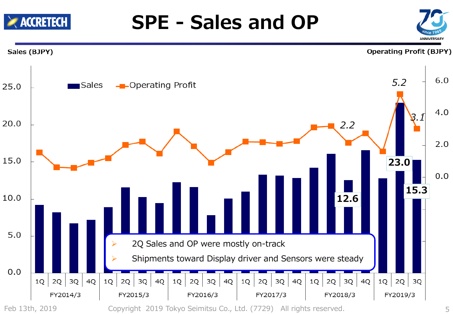

**SPE - Sales and OP**

**EXACCRETECH**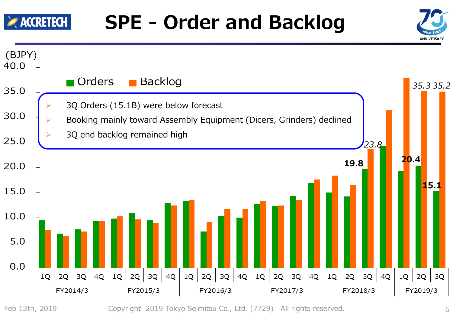

## **SPE - Order and Backlog**



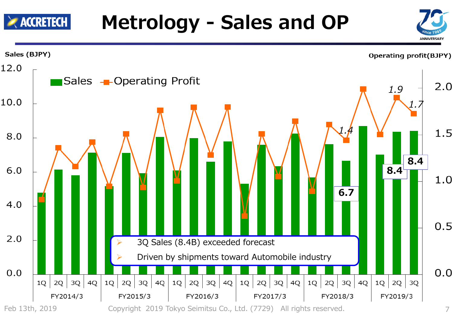# **Metrology - Sales and OP**

 $\geq$  accretech



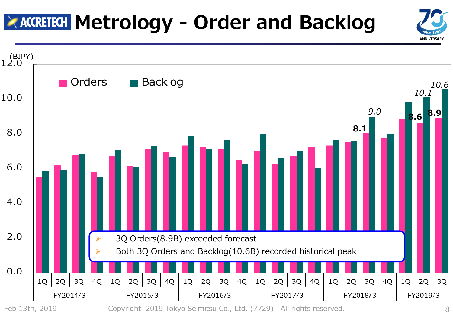## **MARGRETECH Metrology - Order and Backlog**



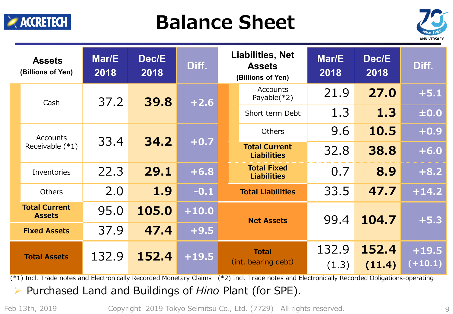

## **Balance Sheet**



|  | <b>Assets</b><br>(Billions of Yen)    | Mar/E<br>2018 | Dec/E<br>2018 | Diff.   | <b>Liabilities, Net</b><br><b>Assets</b><br>(Billions of Yen) | Mar/E<br>2018 | Dec/E<br>2018 | Diff.                |        |                                   |                                            |      |        |
|--|---------------------------------------|---------------|---------------|---------|---------------------------------------------------------------|---------------|---------------|----------------------|--------|-----------------------------------|--------------------------------------------|------|--------|
|  | Cash                                  | 37.2          |               |         |                                                               |               |               | 39.8                 | $+2.6$ | <b>Accounts</b><br>Payable $(*2)$ | 21.9                                       | 27.0 | $+5.1$ |
|  |                                       |               |               |         |                                                               |               |               | Short term Debt      | 1.3    | 1.3                               | ±0.0                                       |      |        |
|  | Accounts                              |               | 34.2          |         | <b>Others</b>                                                 | 9.6           | 10.5          | $+0.9$               |        |                                   |                                            |      |        |
|  | Receivable $(*1)$                     | 33.4          |               |         |                                                               |               |               |                      |        | $+0.7$                            | <b>Total Current</b><br><b>Liabilities</b> | 32.8 | 38.8   |
|  | Inventories                           | 22.3          | 29.1          | $+6.8$  | <b>Total Fixed</b><br><b>Liabilities</b>                      | 0.7           | 8.9           | $+8.2$               |        |                                   |                                            |      |        |
|  | <b>Others</b>                         | 2.0           | 1.9           | $-0.1$  | <b>Total Liabilities</b>                                      | 33.5          | 47.7          | $+14.2$              |        |                                   |                                            |      |        |
|  | <b>Total Current</b><br><b>Assets</b> | 95.0          | 105.0         | $+10.0$ | <b>Net Assets</b>                                             | 99.4          | 104.7         | $+5.3$               |        |                                   |                                            |      |        |
|  | <b>Fixed Assets</b>                   | 37.9          | 47.4          | $+9.5$  |                                                               |               |               |                      |        |                                   |                                            |      |        |
|  | <b>Total Assets</b>                   | 132.9         | 152.4         | $+19.5$ | <b>Total</b><br>(int. bearing debt)                           | 132.9         | 152.4         | $+19.5$<br>$(+10.1)$ |        |                                   |                                            |      |        |
|  |                                       |               |               |         | (1.3)                                                         | (11.4)        |               |                      |        |                                   |                                            |      |        |

 $(*)$  Incl. Trade notes and Electronically Recorded Monetary Claims  $(*2)$  Incl. Trade notes and Electronically Recorded Obligations-operating

Purchased Land and Buildings of *Hino* Plant (for SPE).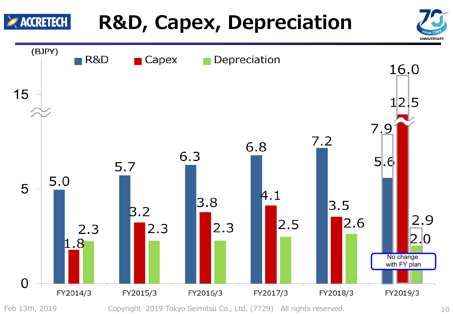

# **R&D, Capex, Depreciation**

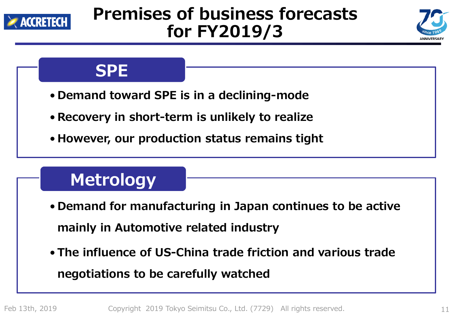

### **Premises of business forecasts for FY2019/3**





### **Metrology**

- **Demand for manufacturing in Japan continues to be active mainly in Automotive related industry**
- **The influence of US-China trade friction and various trade negotiations to be carefully watched**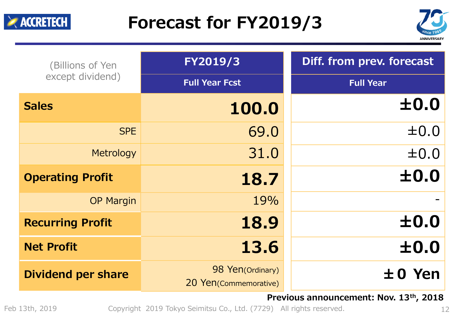### **Forecast for FY2019/3**



|                           |                                           | ANNIVERSAI                                    |  |  |
|---------------------------|-------------------------------------------|-----------------------------------------------|--|--|
| (Billions of Yen          | FY2019/3                                  | Diff. from prev. forecast<br><b>Full Year</b> |  |  |
| except dividend)          | <b>Full Year Fcst</b>                     |                                               |  |  |
| <b>Sales</b>              | 100.0                                     | ±0.0                                          |  |  |
| <b>SPE</b>                | 69.0                                      | $\pm 0.0$                                     |  |  |
| Metrology                 | 31.0                                      | $\pm 0.0$                                     |  |  |
| <b>Operating Profit</b>   | 18.7                                      | ±0.0                                          |  |  |
| <b>OP Margin</b>          | 19%                                       |                                               |  |  |
| <b>Recurring Profit</b>   | 18.9                                      | ±0.0                                          |  |  |
| <b>Net Profit</b>         | 13.6                                      | ±0.0                                          |  |  |
| <b>Dividend per share</b> | 98 Yen(Ordinary)<br>20 Yen(Commemorative) | $±0$ Yen                                      |  |  |

**Previous announcement: Nov. 13th, 2018**

Feb 13th, 2019 Copyright 2019 Tokyo Seimitsu Co., Ltd. (7729) All rights reserved.

 $\blacktriangleright$  ACCRETECH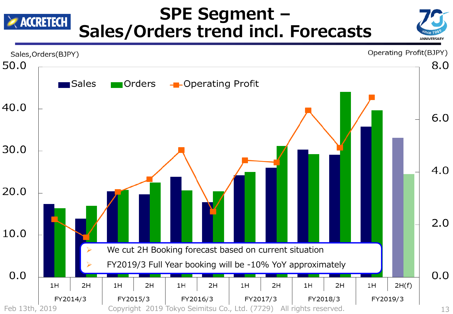#### **SPE Segment –**  $\geq$  accretech **Sales/Orders trend incl. Forecasts**

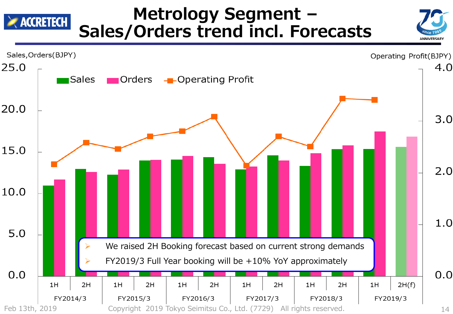#### **Metrology Segment –**  $\geq$  accretech **Sales/Orders trend incl. Forecasts**



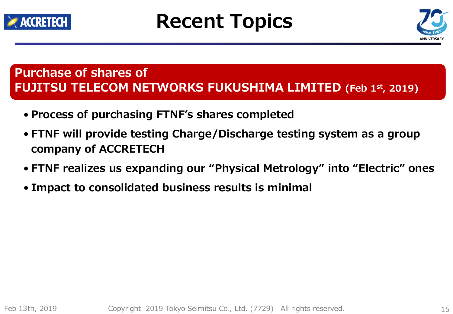

# **Recent Topics**



#### **Purchase of shares of FUJITSU TELECOM NETWORKS FUKUSHIMA LIMITED (Feb 1st, 2019)**

- **Process of purchasing FTNF's shares completed**
- **FTNF will provide testing Charge/Discharge testing system as a group company of ACCRETECH**
- **FTNF realizes us expanding our "Physical Metrology" into "Electric" ones**
- **Impact to consolidated business results is minimal**